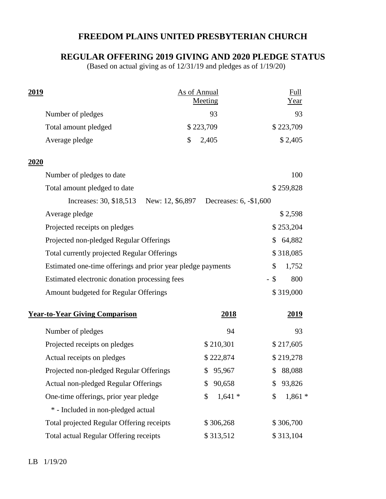## **FREEDOM PLAINS UNITED PRESBYTERIAN CHURCH**

## **REGULAR OFFERING 2019 GIVING AND 2020 PLEDGE STATUS**

(Based on actual giving as of 12/31/19 and pledges as of 1/19/20)

| 2019                                  |                                                             | <b>As of Annual</b>                     |                | Full           |
|---------------------------------------|-------------------------------------------------------------|-----------------------------------------|----------------|----------------|
|                                       |                                                             |                                         | Meeting        | Year           |
|                                       | Number of pledges                                           |                                         | 93             | 93             |
|                                       | Total amount pledged                                        |                                         | \$223,709      | \$223,709      |
|                                       | Average pledge                                              | \$                                      | 2,405          | \$2,405        |
| 2020                                  |                                                             |                                         |                |                |
|                                       | Number of pledges to date                                   |                                         |                | 100            |
|                                       | Total amount pledged to date                                |                                         |                | \$259,828      |
|                                       | Increases: 30, \$18,513                                     | New: 12, \$6,897 Decreases: 6, -\$1,600 |                |                |
|                                       | Average pledge                                              |                                         |                | \$2,598        |
|                                       | Projected receipts on pledges                               |                                         |                | \$253,204      |
|                                       | Projected non-pledged Regular Offerings                     |                                         | 64,882<br>\$   |                |
|                                       | Total currently projected Regular Offerings                 |                                         | \$318,085      |                |
|                                       | Estimated one-time offerings and prior year pledge payments |                                         | \$<br>1,752    |                |
|                                       | Estimated electronic donation processing fees               |                                         | $-$ \$<br>800  |                |
|                                       | Amount budgeted for Regular Offerings                       |                                         |                | \$319,000      |
| <b>Year-to-Year Giving Comparison</b> |                                                             |                                         | <u>2018</u>    | 2019           |
|                                       | Number of pledges                                           |                                         | 94             | 93             |
|                                       | Projected receipts on pledges                               |                                         | \$210,301      | \$217,605      |
|                                       | Actual receipts on pledges                                  |                                         | \$222,874      | \$219,278      |
|                                       | Projected non-pledged Regular Offerings                     |                                         | \$95,967       | \$ 88,088      |
|                                       | Actual non-pledged Regular Offerings                        |                                         | 90,658<br>\$   | 93,826<br>\$   |
|                                       | One-time offerings, prior year pledge                       |                                         | $1,641*$<br>\$ | \$<br>$1,861*$ |
|                                       | * - Included in non-pledged actual                          |                                         |                |                |
|                                       | Total projected Regular Offering receipts                   |                                         | \$306,268      | \$306,700      |
|                                       | Total actual Regular Offering receipts                      |                                         | \$313,512      | \$313,104      |
|                                       |                                                             |                                         |                |                |